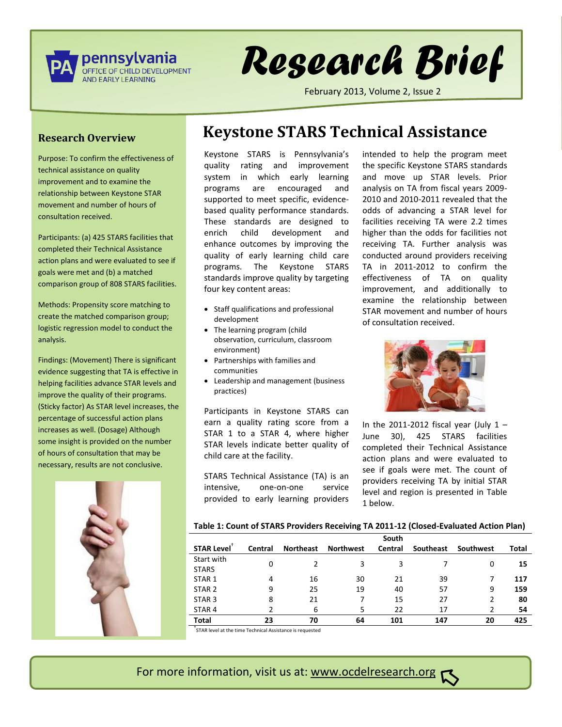

# *Research Brief*

February 2013, Volume 2, Issue 2

#### **Research Overview**

Purpose: To confirm the effectiveness of technical assistance on quality improvement and to examine the relationship between Keystone STAR movement and number of hours of consultation received.

Participants: (a) 425 STARS facilities that completed their Technical Assistance action plans and were evaluated to see if goals were met and (b) a matched comparison group of 808 STARS facilities.

Methods: Propensity score matching to create the matched comparison group; logistic regression model to conduct the analysis.

Findings: (Movement) There is significant evidence suggesting that TA is effective in helping facilities advance STAR levels and improve the quality of their programs. (Sticky factor) As STAR level increases, the percentage of successful action plans increases as well. (Dosage) Although some insight is provided on the number of hours of consultation that may be necessary, results are not conclusive.



# **Keystone STARS Technical Assistance**

Keystone STARS is Pennsylvania's quality rating and improvement system in which early learning programs are encouraged and supported to meet specific, evidencebased quality performance standards. These standards are designed to enrich child development and enhance outcomes by improving the quality of early learning child care programs. The Keystone STARS standards improve quality by targeting four key content areas:

- Staff qualifications and professional development
- The learning program (child observation, curriculum, classroom environment)
- Partnerships with families and communities
- Leadership and management (business practices)

Participants in Keystone STARS can earn a quality rating score from a STAR 1 to a STAR 4, where higher STAR levels indicate better quality of child care at the facility.

STARS Technical Assistance (TA) is an intensive, one-on-one service provided to early learning providers

intended to help the program meet the specific Keystone STARS standards and move up STAR levels. Prior analysis on TA from fiscal years 2009- 2010 and 2010-2011 revealed that the odds of advancing a STAR level for facilities receiving TA were 2.2 times higher than the odds for facilities not receiving TA. Further analysis was conducted around providers receiving TA in 2011-2012 to confirm the effectiveness of TA on quality improvement, and additionally to examine the relationship between STAR movement and number of hours of consultation received.



In the 2011-2012 fiscal year (July  $1 -$ June 30), 425 STARS facilities completed their Technical Assistance action plans and were evaluated to see if goals were met. The count of providers receiving TA by initial STAR level and region is presented in Table 1 below.

#### **Table 1: Count of STARS Providers Receiving TA 2011-12 (Closed-Evaluated Action Plan)**

|                   |         |                  |                  | South   |           |           |       |
|-------------------|---------|------------------|------------------|---------|-----------|-----------|-------|
| <b>STAR Level</b> | Central | <b>Northeast</b> | <b>Northwest</b> | Central | Southeast | Southwest | Total |
| Start with        | 0       |                  | 3                | 3       |           | 0         | 15    |
| <b>STARS</b>      |         |                  |                  |         |           |           |       |
| STAR <sub>1</sub> | 4       | 16               | 30               | 21      | 39        |           | 117   |
| STAR <sub>2</sub> | 9       | 25               | 19               | 40      | 57        | 9         | 159   |
| STAR <sub>3</sub> | 8       | 21               | 7                | 15      | 27        | 2         | 80    |
| STAR <sub>4</sub> |         | 6                | 5                | 22      | 17        | າ         | 54    |
| Total             | 23      | 70               | 64               | 101     | 147       | 20        | 425   |

† STAR level at the time Technical Assistance is requested

# For more information, visit us at: www.ocdelresearch.org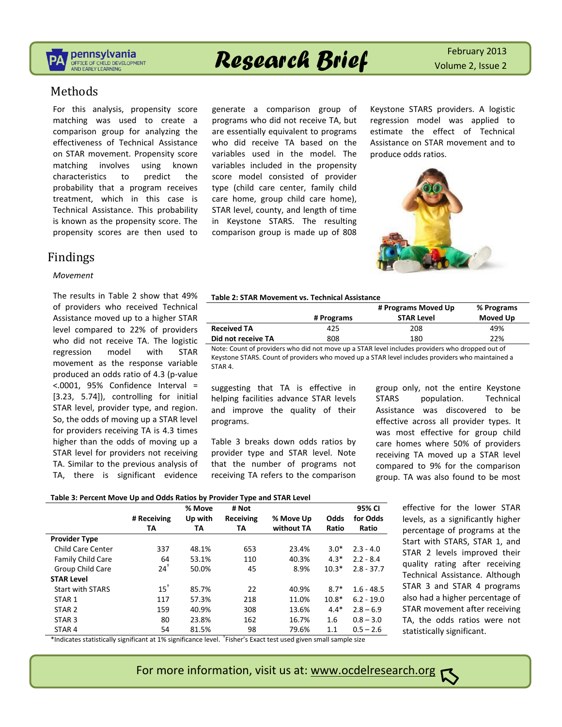

# **Research Brief February 2013**

### Methods

For this analysis, propensity score matching was used to create a comparison group for analyzing the effectiveness of Technical Assistance on STAR movement. Propensity score matching involves using known characteristics to predict the probability that a program receives treatment, which in this case is Technical Assistance. This probability is known as the propensity score. The propensity scores are then used to

# Findings

#### *Movement*

The results in Table 2 show that 49% of providers who received Technical Assistance moved up to a higher STAR level compared to 22% of providers who did not receive TA. The logistic regression model with STAR movement as the response variable produced an odds ratio of 4.3 (p-value <.0001, 95% Confidence Interval = [3.23, 5.74]), controlling for initial STAR level, provider type, and region. So, the odds of moving up a STAR level for providers receiving TA is 4.3 times higher than the odds of moving up a STAR level for providers not receiving TA. Similar to the previous analysis of TA, there is significant evidence

generate a comparison group of programs who did not receive TA, but are essentially equivalent to programs who did receive TA based on the variables used in the model. The variables included in the propensity score model consisted of provider type (child care center, family child care home, group child care home), STAR level, county, and length of time in Keystone STARS. The resulting comparison group is made up of 808 Keystone STARS providers. A logistic regression model was applied to estimate the effect of Technical Assistance on STAR movement and to produce odds ratios.



#### **Table 2: STAR Movement vs. Technical Assistance**

|                    | # Programs Moved Up |                   | % Programs |  |
|--------------------|---------------------|-------------------|------------|--|
|                    | # Programs          | <b>STAR Level</b> | Moved Up   |  |
| <b>Received TA</b> | 425                 | 208               | 49%        |  |
| Did not receive TA | 808                 | 180               | 22%        |  |

Note: Count of providers who did not move up a STAR level includes providers who dropped out of Keystone STARS. Count of providers who moved up a STAR level includes providers who maintained a STAR 4.

suggesting that TA is effective in helping facilities advance STAR levels and improve the quality of their programs.

Table 3 breaks down odds ratios by provider type and STAR level. Note that the number of programs not receiving TA refers to the comparison

group only, not the entire Keystone STARS population. Technical Assistance was discovered to be effective across all provider types. It was most effective for group child care homes where 50% of providers receiving TA moved up a STAR level compared to 9% for the comparison group. TA was also found to be most

#### **Table 3: Percent Move Up and Odds Ratios by Provider Type and STAR Level**

|                          |             | % Move  | # Not     |            |         | 95% CI       |
|--------------------------|-------------|---------|-----------|------------|---------|--------------|
|                          | # Receiving | Up with | Receiving | % Move Up  | Odds    | for Odds     |
|                          | TA          | TA      | TA        | without TA | Ratio   | Ratio        |
| <b>Provider Type</b>     |             |         |           |            |         |              |
| <b>Child Care Center</b> | 337         | 48.1%   | 653       | 23.4%      | $3.0*$  | $2.3 - 4.0$  |
| <b>Family Child Care</b> | 64          | 53.1%   | 110       | 40.3%      | $4.3*$  | $2.2 - 8.4$  |
| Group Child Care         | $24^+$      | 50.0%   | 45        | 8.9%       | $10.3*$ | $2.8 - 37.7$ |
| <b>STAR Level</b>        |             |         |           |            |         |              |
| <b>Start with STARS</b>  | $15^+$      | 85.7%   | 22        | 40.9%      | $8.7*$  | $1.6 - 48.5$ |
| STAR <sub>1</sub>        | 117         | 57.3%   | 218       | 11.0%      | $10.8*$ | $6.2 - 19.0$ |
| STAR <sub>2</sub>        | 159         | 40.9%   | 308       | 13.6%      | $4.4*$  | $2.8 - 6.9$  |
| STAR <sub>3</sub>        | 80          | 23.8%   | 162       | 16.7%      | 1.6     | $0.8 - 3.0$  |
| STAR <sub>4</sub>        | 54          | 81.5%   | 98<br>H   | 79.6%      | 1.1     | $0.5 - 2.6$  |

effective for the lower STAR levels, as a significantly higher percentage of programs at the Start with STARS, STAR 1, and STAR 2 levels improved their quality rating after receiving Technical Assistance. Although STAR 3 and STAR 4 programs also had a higher percentage of STAR movement after receiving TA, the odds ratios were not statistically significant.

\*Indicates statistically significant at 1% significance level. † Fisher's Exact test used given small sample size

For more information, visit us at: www.ocdelresearch.org